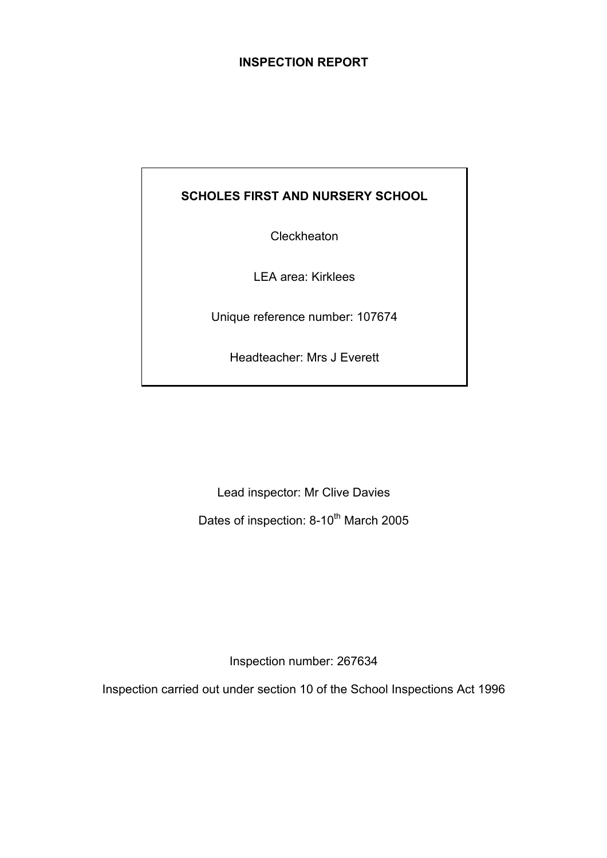## **INSPECTION REPORT**

## **SCHOLES FIRST AND NURSERY SCHOOL**

**Cleckheaton** 

LEA area: Kirklees

Unique reference number: 107674

Headteacher: Mrs J Everett

Lead inspector: Mr Clive Davies

Dates of inspection: 8-10<sup>th</sup> March 2005

Inspection number: 267634

Inspection carried out under section 10 of the School Inspections Act 1996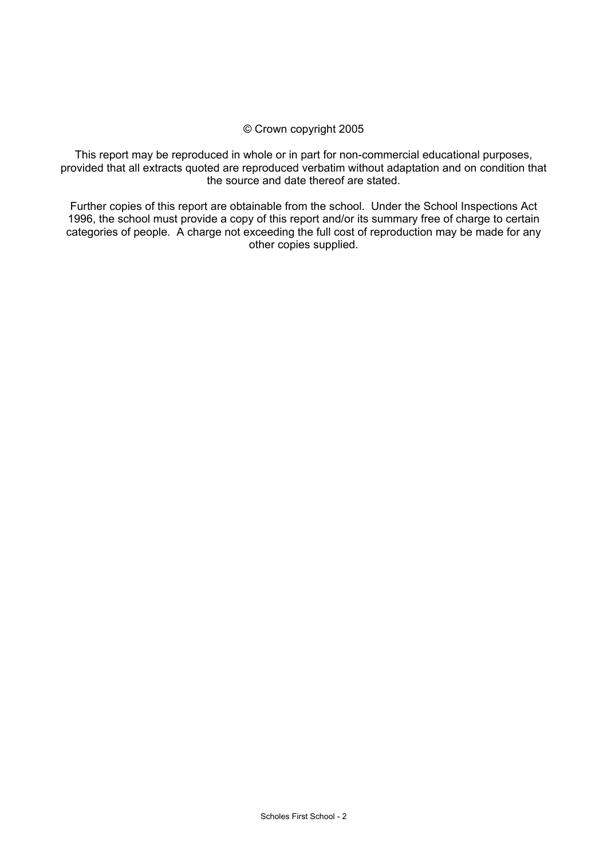#### © Crown copyright 2005

This report may be reproduced in whole or in part for non-commercial educational purposes, provided that all extracts quoted are reproduced verbatim without adaptation and on condition that the source and date thereof are stated.

Further copies of this report are obtainable from the school. Under the School Inspections Act 1996, the school must provide a copy of this report and/or its summary free of charge to certain categories of people. A charge not exceeding the full cost of reproduction may be made for any other copies supplied.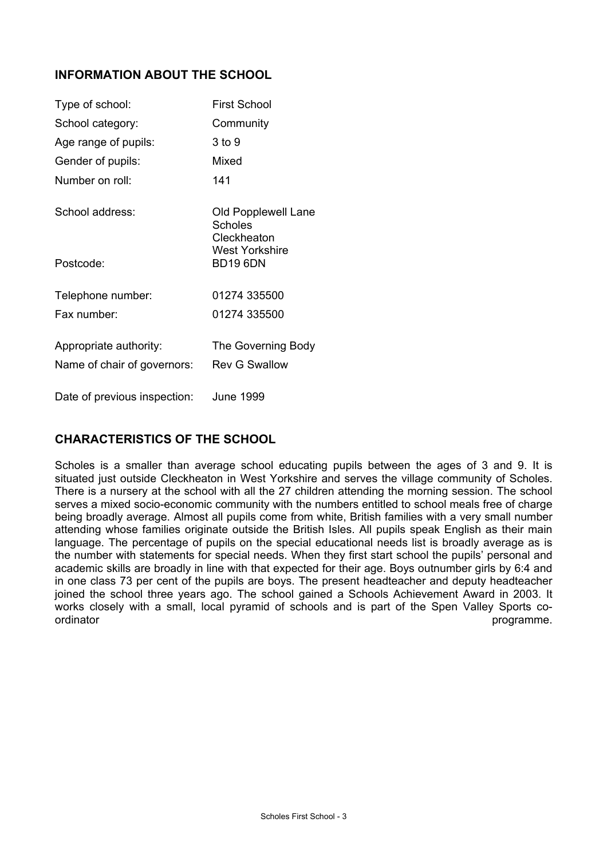## **INFORMATION ABOUT THE SCHOOL**

| Type of school:                                       | <b>First School</b>                                             |
|-------------------------------------------------------|-----------------------------------------------------------------|
| School category:                                      | Community                                                       |
| Age range of pupils:                                  | 3 to 9                                                          |
| Gender of pupils:                                     | Mixed                                                           |
| Number on roll:                                       | 141                                                             |
| School address:                                       | Old Popplewell Lane<br>Scholes<br>Cleckheaton<br>West Yorkshire |
| Postcode:                                             | <b>BD19 6DN</b>                                                 |
| Telephone number:                                     | 01274 335500                                                    |
| Fax number:                                           | 01274 335500                                                    |
| Appropriate authority:<br>Name of chair of governors: | The Governing Body<br><b>Rev G Swallow</b>                      |
| Date of previous inspection:                          | June 1999                                                       |

## **CHARACTERISTICS OF THE SCHOOL**

Scholes is a smaller than average school educating pupils between the ages of 3 and 9. It is situated just outside Cleckheaton in West Yorkshire and serves the village community of Scholes. There is a nursery at the school with all the 27 children attending the morning session. The school serves a mixed socio-economic community with the numbers entitled to school meals free of charge being broadly average. Almost all pupils come from white, British families with a very small number attending whose families originate outside the British Isles. All pupils speak English as their main language. The percentage of pupils on the special educational needs list is broadly average as is the number with statements for special needs. When they first start school the pupils' personal and academic skills are broadly in line with that expected for their age. Boys outnumber girls by 6:4 and in one class 73 per cent of the pupils are boys. The present headteacher and deputy headteacher joined the school three years ago. The school gained a Schools Achievement Award in 2003. It works closely with a small, local pyramid of schools and is part of the Spen Valley Sports coordinator **programme. programme. programme. programme. programme. programme.**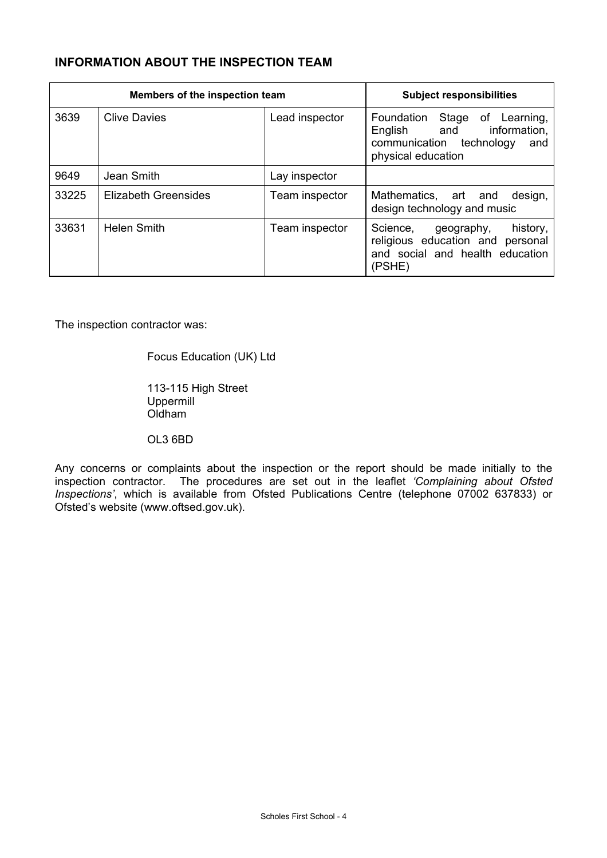## **INFORMATION ABOUT THE INSPECTION TEAM**

| Members of the inspection team |                      |                | <b>Subject responsibilities</b>                                                                                          |
|--------------------------------|----------------------|----------------|--------------------------------------------------------------------------------------------------------------------------|
| 3639                           | <b>Clive Davies</b>  | Lead inspector | Stage of Learning,<br>Foundation<br>information,<br>English and<br>communication technology<br>and<br>physical education |
| 9649                           | Jean Smith           | Lay inspector  |                                                                                                                          |
| 33225                          | Elizabeth Greensides | Team inspector | Mathematics, art and<br>design,<br>design technology and music                                                           |
| 33631                          | <b>Helen Smith</b>   | Team inspector | history,<br>Science,<br>geography,<br>religious education and<br>personal<br>and social and health education<br>(PSHE)   |

The inspection contractor was:

Focus Education (UK) Ltd

 113-115 High Street Uppermill Oldham

OL3 6BD

Any concerns or complaints about the inspection or the report should be made initially to the inspection contractor. The procedures are set out in the leaflet *'Complaining about Ofsted Inspections'*, which is available from Ofsted Publications Centre (telephone 07002 637833) or Ofsted's website (www.oftsed.gov.uk).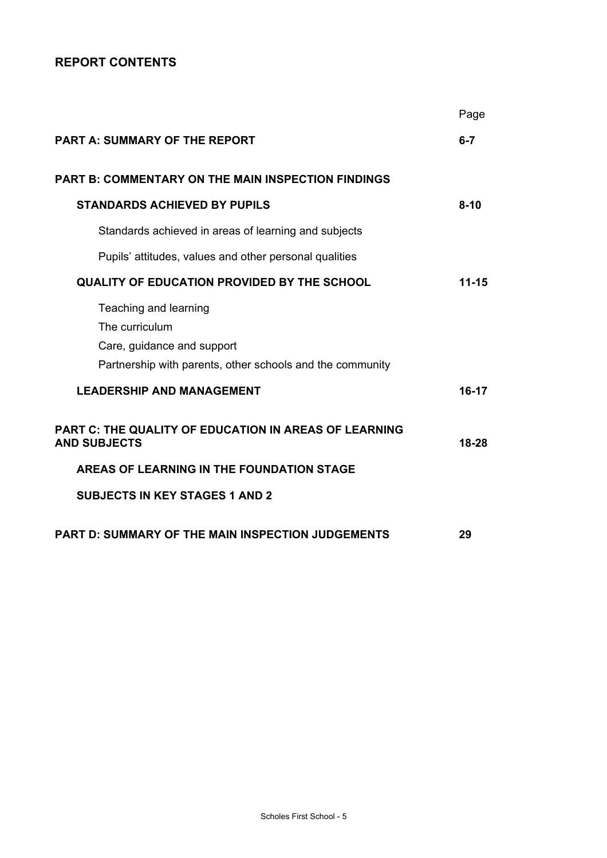## **REPORT CONTENTS**

|                                                                                                                                    | Page      |
|------------------------------------------------------------------------------------------------------------------------------------|-----------|
| <b>PART A: SUMMARY OF THE REPORT</b>                                                                                               | $6 - 7$   |
| <b>PART B: COMMENTARY ON THE MAIN INSPECTION FINDINGS</b>                                                                          |           |
| <b>STANDARDS ACHIEVED BY PUPILS</b>                                                                                                | $8-10$    |
| Standards achieved in areas of learning and subjects                                                                               |           |
| Pupils' attitudes, values and other personal qualities                                                                             |           |
| <b>QUALITY OF EDUCATION PROVIDED BY THE SCHOOL</b>                                                                                 | $11 - 15$ |
| Teaching and learning<br>The curriculum<br>Care, guidance and support<br>Partnership with parents, other schools and the community |           |
| <b>LEADERSHIP AND MANAGEMENT</b>                                                                                                   | $16-17$   |
| PART C: THE QUALITY OF EDUCATION IN AREAS OF LEARNING<br><b>AND SUBJECTS</b>                                                       | 18-28     |
| AREAS OF LEARNING IN THE FOUNDATION STAGE                                                                                          |           |
| <b>SUBJECTS IN KEY STAGES 1 AND 2</b>                                                                                              |           |
| PART D: SUMMARY OF THE MAIN INSPECTION JUDGEMENTS                                                                                  | 29        |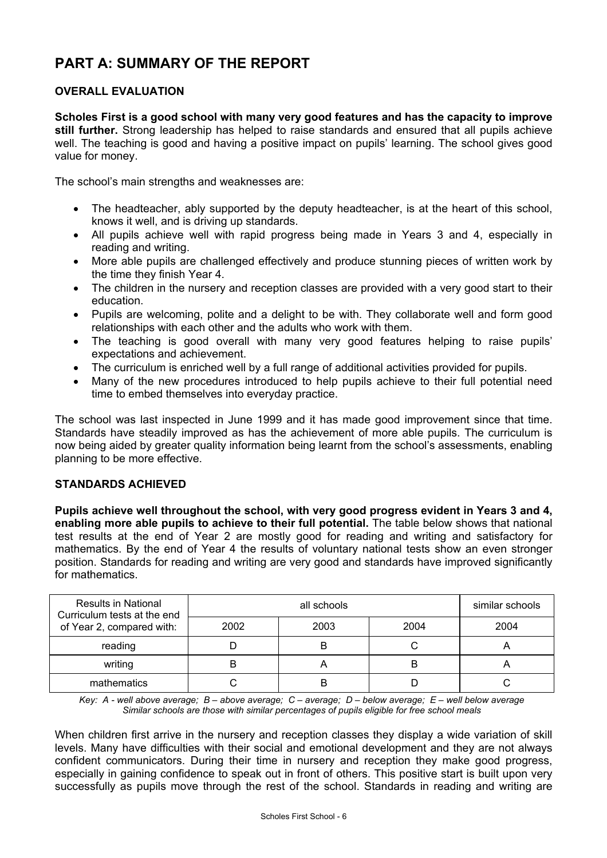# **PART A: SUMMARY OF THE REPORT**

## **OVERALL EVALUATION**

**Scholes First is a good school with many very good features and has the capacity to improve still further.** Strong leadership has helped to raise standards and ensured that all pupils achieve well. The teaching is good and having a positive impact on pupils' learning. The school gives good value for money.

The school's main strengths and weaknesses are:

- The headteacher, ably supported by the deputy headteacher, is at the heart of this school, knows it well, and is driving up standards.
- All pupils achieve well with rapid progress being made in Years 3 and 4, especially in reading and writing.
- More able pupils are challenged effectively and produce stunning pieces of written work by the time they finish Year 4.
- The children in the nursery and reception classes are provided with a very good start to their education.
- Pupils are welcoming, polite and a delight to be with. They collaborate well and form good relationships with each other and the adults who work with them.
- The teaching is good overall with many very good features helping to raise pupils' expectations and achievement.
- The curriculum is enriched well by a full range of additional activities provided for pupils.
- Many of the new procedures introduced to help pupils achieve to their full potential need time to embed themselves into everyday practice.

The school was last inspected in June 1999 and it has made good improvement since that time. Standards have steadily improved as has the achievement of more able pupils. The curriculum is now being aided by greater quality information being learnt from the school's assessments, enabling planning to be more effective.

## **STANDARDS ACHIEVED**

**Pupils achieve well throughout the school, with very good progress evident in Years 3 and 4, enabling more able pupils to achieve to their full potential.** The table below shows that national test results at the end of Year 2 are mostly good for reading and writing and satisfactory for mathematics. By the end of Year 4 the results of voluntary national tests show an even stronger position. Standards for reading and writing are very good and standards have improved significantly for mathematics.

| <b>Results in National</b><br>Curriculum tests at the end |      | similar schools |      |      |
|-----------------------------------------------------------|------|-----------------|------|------|
| of Year 2, compared with:                                 | 2002 | 2003            | 2004 | 2004 |
| reading                                                   |      | B               |      |      |
| writing                                                   |      |                 | в    |      |
| mathematics                                               |      | B               |      |      |

*Key: A - well above average; B – above average; C – average; D – below average; E – well below average Similar schools are those with similar percentages of pupils eligible for free school meals* 

When children first arrive in the nursery and reception classes they display a wide variation of skill levels. Many have difficulties with their social and emotional development and they are not always confident communicators. During their time in nursery and reception they make good progress, especially in gaining confidence to speak out in front of others. This positive start is built upon very successfully as pupils move through the rest of the school. Standards in reading and writing are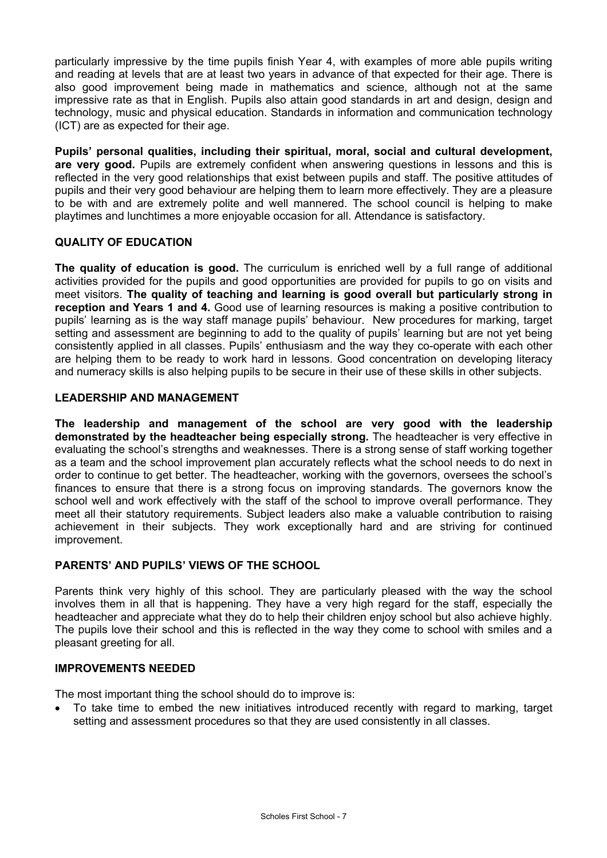particularly impressive by the time pupils finish Year 4, with examples of more able pupils writing and reading at levels that are at least two years in advance of that expected for their age. There is also good improvement being made in mathematics and science, although not at the same impressive rate as that in English. Pupils also attain good standards in art and design, design and technology, music and physical education. Standards in information and communication technology (ICT) are as expected for their age.

**Pupils' personal qualities, including their spiritual, moral, social and cultural development, are very good.** Pupils are extremely confident when answering questions in lessons and this is reflected in the very good relationships that exist between pupils and staff. The positive attitudes of pupils and their very good behaviour are helping them to learn more effectively. They are a pleasure to be with and are extremely polite and well mannered. The school council is helping to make playtimes and lunchtimes a more enjoyable occasion for all. Attendance is satisfactory.

## **QUALITY OF EDUCATION**

**The quality of education is good.** The curriculum is enriched well by a full range of additional activities provided for the pupils and good opportunities are provided for pupils to go on visits and meet visitors. **The quality of teaching and learning is good overall but particularly strong in reception and Years 1 and 4.** Good use of learning resources is making a positive contribution to pupils' learning as is the way staff manage pupils' behaviour. New procedures for marking, target setting and assessment are beginning to add to the quality of pupils' learning but are not yet being consistently applied in all classes. Pupils' enthusiasm and the way they co-operate with each other are helping them to be ready to work hard in lessons. Good concentration on developing literacy and numeracy skills is also helping pupils to be secure in their use of these skills in other subjects.

## **LEADERSHIP AND MANAGEMENT**

**The leadership and management of the school are very good with the leadership demonstrated by the headteacher being especially strong.** The headteacher is very effective in evaluating the school's strengths and weaknesses. There is a strong sense of staff working together as a team and the school improvement plan accurately reflects what the school needs to do next in order to continue to get better. The headteacher, working with the governors, oversees the school's finances to ensure that there is a strong focus on improving standards. The governors know the school well and work effectively with the staff of the school to improve overall performance. They meet all their statutory requirements. Subject leaders also make a valuable contribution to raising achievement in their subjects. They work exceptionally hard and are striving for continued improvement.

## **PARENTS' AND PUPILS' VIEWS OF THE SCHOOL**

Parents think very highly of this school. They are particularly pleased with the way the school involves them in all that is happening. They have a very high regard for the staff, especially the headteacher and appreciate what they do to help their children enjoy school but also achieve highly. The pupils love their school and this is reflected in the way they come to school with smiles and a pleasant greeting for all.

## **IMPROVEMENTS NEEDED**

The most important thing the school should do to improve is:

• To take time to embed the new initiatives introduced recently with regard to marking, target setting and assessment procedures so that they are used consistently in all classes.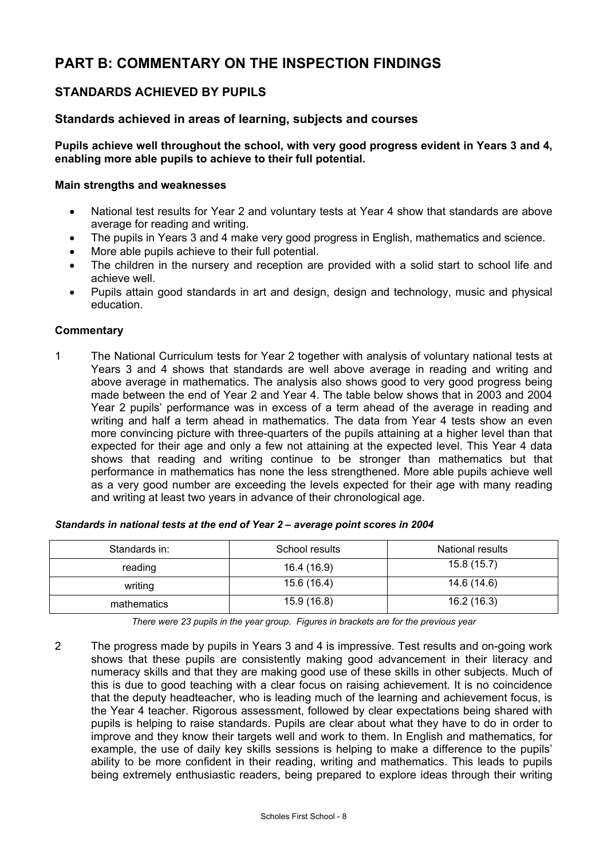# **PART B: COMMENTARY ON THE INSPECTION FINDINGS**

## **STANDARDS ACHIEVED BY PUPILS**

## **Standards achieved in areas of learning, subjects and courses**

**Pupils achieve well throughout the school, with very good progress evident in Years 3 and 4, enabling more able pupils to achieve to their full potential.** 

#### **Main strengths and weaknesses**

- National test results for Year 2 and voluntary tests at Year 4 show that standards are above average for reading and writing.
- The pupils in Years 3 and 4 make very good progress in English, mathematics and science.
- More able pupils achieve to their full potential.
- The children in the nursery and reception are provided with a solid start to school life and achieve well.
- Pupils attain good standards in art and design, design and technology, music and physical education.

#### **Commentary**

1 The National Curriculum tests for Year 2 together with analysis of voluntary national tests at Years 3 and 4 shows that standards are well above average in reading and writing and above average in mathematics. The analysis also shows good to very good progress being made between the end of Year 2 and Year 4. The table below shows that in 2003 and 2004 Year 2 pupils' performance was in excess of a term ahead of the average in reading and writing and half a term ahead in mathematics. The data from Year 4 tests show an even more convincing picture with three-quarters of the pupils attaining at a higher level than that expected for their age and only a few not attaining at the expected level. This Year 4 data shows that reading and writing continue to be stronger than mathematics but that performance in mathematics has none the less strengthened. More able pupils achieve well as a very good number are exceeding the levels expected for their age with many reading and writing at least two years in advance of their chronological age.

| Standards in: | School results | National results |
|---------------|----------------|------------------|
| reading       | 16.4 (16.9)    | 15.8(15.7)       |
| writing       | 15.6 (16.4)    | 14.6 (14.6)      |
| mathematics   | 15.9 (16.8)    | 16.2(16.3)       |

| Standards in national tests at the end of Year 2 - average point scores in 2004 |  |  |  |  |  |  |  |
|---------------------------------------------------------------------------------|--|--|--|--|--|--|--|
|---------------------------------------------------------------------------------|--|--|--|--|--|--|--|

*There were 23 pupils in the year group. Figures in brackets are for the previous year* 

2 The progress made by pupils in Years 3 and 4 is impressive. Test results and on-going work shows that these pupils are consistently making good advancement in their literacy and numeracy skills and that they are making good use of these skills in other subjects. Much of this is due to good teaching with a clear focus on raising achievement. It is no coincidence that the deputy headteacher, who is leading much of the learning and achievement focus, is the Year 4 teacher. Rigorous assessment, followed by clear expectations being shared with pupils is helping to raise standards. Pupils are clear about what they have to do in order to improve and they know their targets well and work to them. In English and mathematics, for example, the use of daily key skills sessions is helping to make a difference to the pupils' ability to be more confident in their reading, writing and mathematics. This leads to pupils being extremely enthusiastic readers, being prepared to explore ideas through their writing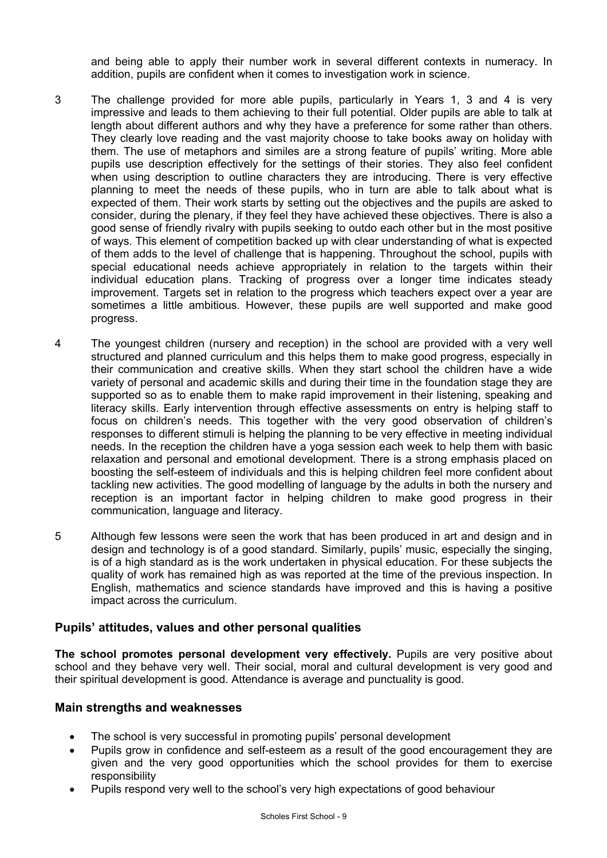and being able to apply their number work in several different contexts in numeracy. In addition, pupils are confident when it comes to investigation work in science.

- 3 The challenge provided for more able pupils, particularly in Years 1, 3 and 4 is very impressive and leads to them achieving to their full potential. Older pupils are able to talk at length about different authors and why they have a preference for some rather than others. They clearly love reading and the vast majority choose to take books away on holiday with them. The use of metaphors and similes are a strong feature of pupils' writing. More able pupils use description effectively for the settings of their stories. They also feel confident when using description to outline characters they are introducing. There is very effective planning to meet the needs of these pupils, who in turn are able to talk about what is expected of them. Their work starts by setting out the objectives and the pupils are asked to consider, during the plenary, if they feel they have achieved these objectives. There is also a good sense of friendly rivalry with pupils seeking to outdo each other but in the most positive of ways. This element of competition backed up with clear understanding of what is expected of them adds to the level of challenge that is happening. Throughout the school, pupils with special educational needs achieve appropriately in relation to the targets within their individual education plans. Tracking of progress over a longer time indicates steady improvement. Targets set in relation to the progress which teachers expect over a year are sometimes a little ambitious. However, these pupils are well supported and make good progress.
- 4 The youngest children (nursery and reception) in the school are provided with a very well structured and planned curriculum and this helps them to make good progress, especially in their communication and creative skills. When they start school the children have a wide variety of personal and academic skills and during their time in the foundation stage they are supported so as to enable them to make rapid improvement in their listening, speaking and literacy skills. Early intervention through effective assessments on entry is helping staff to focus on children's needs. This together with the very good observation of children's responses to different stimuli is helping the planning to be very effective in meeting individual needs. In the reception the children have a yoga session each week to help them with basic relaxation and personal and emotional development. There is a strong emphasis placed on boosting the self-esteem of individuals and this is helping children feel more confident about tackling new activities. The good modelling of language by the adults in both the nursery and reception is an important factor in helping children to make good progress in their communication, language and literacy.
- 5 Although few lessons were seen the work that has been produced in art and design and in design and technology is of a good standard. Similarly, pupils' music, especially the singing, is of a high standard as is the work undertaken in physical education. For these subjects the quality of work has remained high as was reported at the time of the previous inspection. In English, mathematics and science standards have improved and this is having a positive impact across the curriculum.

## **Pupils' attitudes, values and other personal qualities**

**The school promotes personal development very effectively.** Pupils are very positive about school and they behave very well. Their social, moral and cultural development is very good and their spiritual development is good. Attendance is average and punctuality is good.

## **Main strengths and weaknesses**

- The school is very successful in promoting pupils' personal development
- Pupils grow in confidence and self-esteem as a result of the good encouragement they are given and the very good opportunities which the school provides for them to exercise responsibility
- Pupils respond very well to the school's very high expectations of good behaviour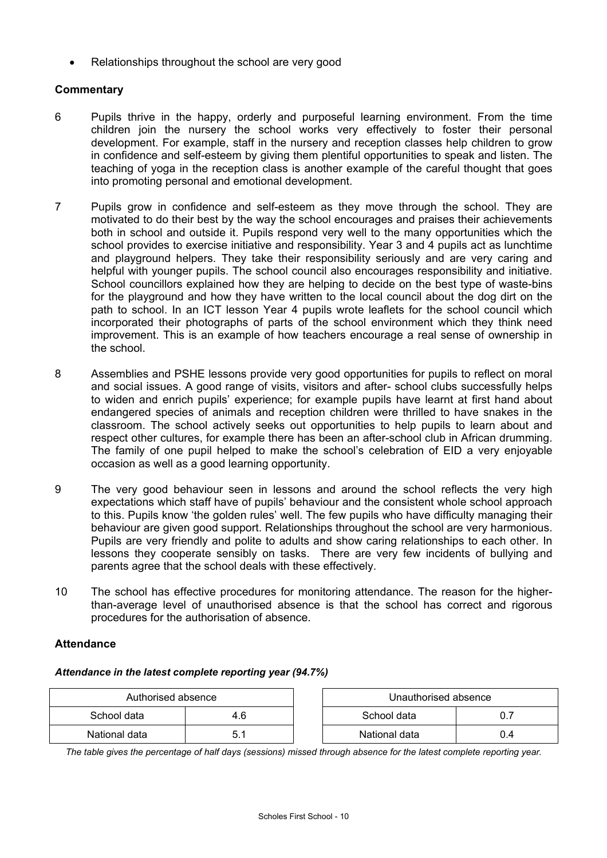Relationships throughout the school are very good

### **Commentary**

- 6 Pupils thrive in the happy, orderly and purposeful learning environment. From the time children join the nursery the school works very effectively to foster their personal development. For example, staff in the nursery and reception classes help children to grow in confidence and self-esteem by giving them plentiful opportunities to speak and listen. The teaching of yoga in the reception class is another example of the careful thought that goes into promoting personal and emotional development.
- 7 Pupils grow in confidence and self-esteem as they move through the school. They are motivated to do their best by the way the school encourages and praises their achievements both in school and outside it. Pupils respond very well to the many opportunities which the school provides to exercise initiative and responsibility. Year 3 and 4 pupils act as lunchtime and playground helpers. They take their responsibility seriously and are very caring and helpful with younger pupils. The school council also encourages responsibility and initiative. School councillors explained how they are helping to decide on the best type of waste-bins for the playground and how they have written to the local council about the dog dirt on the path to school. In an ICT lesson Year 4 pupils wrote leaflets for the school council which incorporated their photographs of parts of the school environment which they think need improvement. This is an example of how teachers encourage a real sense of ownership in the school.
- 8 Assemblies and PSHE lessons provide very good opportunities for pupils to reflect on moral and social issues. A good range of visits, visitors and after- school clubs successfully helps to widen and enrich pupils' experience; for example pupils have learnt at first hand about endangered species of animals and reception children were thrilled to have snakes in the classroom. The school actively seeks out opportunities to help pupils to learn about and respect other cultures, for example there has been an after-school club in African drumming. The family of one pupil helped to make the school's celebration of EID a very enjoyable occasion as well as a good learning opportunity.
- 9 The very good behaviour seen in lessons and around the school reflects the very high expectations which staff have of pupils' behaviour and the consistent whole school approach to this. Pupils know 'the golden rules' well. The few pupils who have difficulty managing their behaviour are given good support. Relationships throughout the school are very harmonious. Pupils are very friendly and polite to adults and show caring relationships to each other. In lessons they cooperate sensibly on tasks. There are very few incidents of bullying and parents agree that the school deals with these effectively.
- 10 The school has effective procedures for monitoring attendance. The reason for the higherthan-average level of unauthorised absence is that the school has correct and rigorous procedures for the authorisation of absence.

#### **Attendance**

#### *Attendance in the latest complete reporting year (94.7%)*

| Authorised absence |     | Unauthorised absence |     |
|--------------------|-----|----------------------|-----|
| School data        | 4.6 | School data          |     |
| National data      |     | National data        | J.4 |

*The table gives the percentage of half days (sessions) missed through absence for the latest complete reporting year.*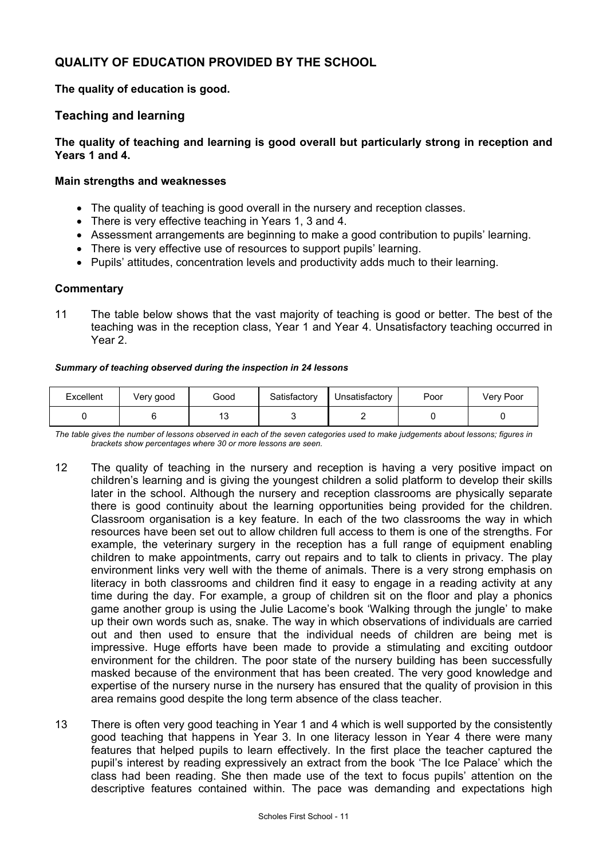## **QUALITY OF EDUCATION PROVIDED BY THE SCHOOL**

**The quality of education is good.**

## **Teaching and learning**

### **The quality of teaching and learning is good overall but particularly strong in reception and Years 1 and 4.**

#### **Main strengths and weaknesses**

- The quality of teaching is good overall in the nursery and reception classes.
- There is very effective teaching in Years 1, 3 and 4.
- Assessment arrangements are beginning to make a good contribution to pupils' learning.
- There is very effective use of resources to support pupils' learning.
- Pupils' attitudes, concentration levels and productivity adds much to their learning.

#### **Commentary**

11 The table below shows that the vast majority of teaching is good or better. The best of the teaching was in the reception class, Year 1 and Year 4. Unsatisfactory teaching occurred in Year 2.

#### *Summary of teaching observed during the inspection in 24 lessons*

| Excellent | Very good | Good | Satisfactory | Unsatisfactory | Poor | Very Poor |
|-----------|-----------|------|--------------|----------------|------|-----------|
|           |           | יי   |              |                |      |           |

*The table gives the number of lessons observed in each of the seven categories used to make judgements about lessons; figures in brackets show percentages where 30 or more lessons are seen.* 

- 12 The quality of teaching in the nursery and reception is having a very positive impact on children's learning and is giving the youngest children a solid platform to develop their skills later in the school. Although the nursery and reception classrooms are physically separate there is good continuity about the learning opportunities being provided for the children. Classroom organisation is a key feature. In each of the two classrooms the way in which resources have been set out to allow children full access to them is one of the strengths. For example, the veterinary surgery in the reception has a full range of equipment enabling children to make appointments, carry out repairs and to talk to clients in privacy. The play environment links very well with the theme of animals. There is a very strong emphasis on literacy in both classrooms and children find it easy to engage in a reading activity at any time during the day. For example, a group of children sit on the floor and play a phonics game another group is using the Julie Lacome's book 'Walking through the jungle' to make up their own words such as, snake. The way in which observations of individuals are carried out and then used to ensure that the individual needs of children are being met is impressive. Huge efforts have been made to provide a stimulating and exciting outdoor environment for the children. The poor state of the nursery building has been successfully masked because of the environment that has been created. The very good knowledge and expertise of the nursery nurse in the nursery has ensured that the quality of provision in this area remains good despite the long term absence of the class teacher.
- 13 There is often very good teaching in Year 1 and 4 which is well supported by the consistently good teaching that happens in Year 3. In one literacy lesson in Year 4 there were many features that helped pupils to learn effectively. In the first place the teacher captured the pupil's interest by reading expressively an extract from the book 'The Ice Palace' which the class had been reading. She then made use of the text to focus pupils' attention on the descriptive features contained within. The pace was demanding and expectations high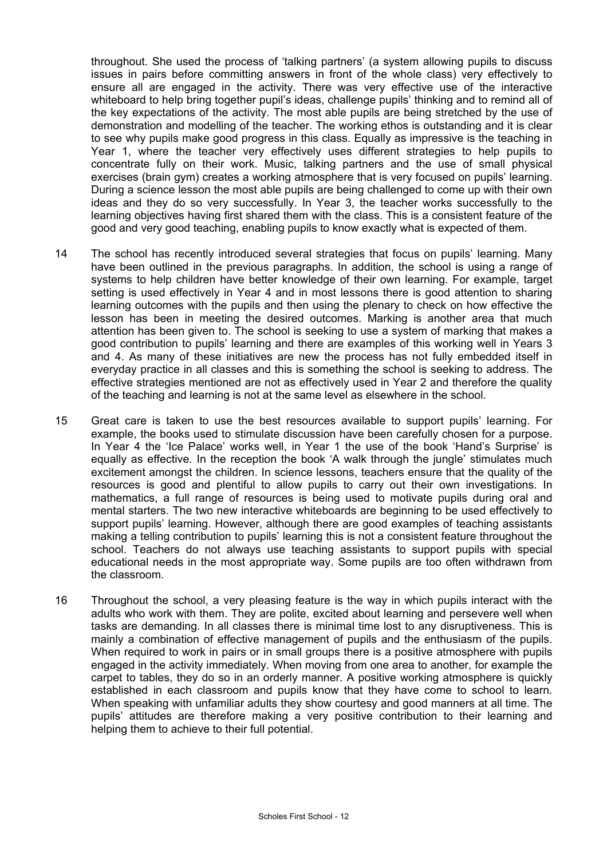throughout. She used the process of 'talking partners' (a system allowing pupils to discuss issues in pairs before committing answers in front of the whole class) very effectively to ensure all are engaged in the activity. There was very effective use of the interactive whiteboard to help bring together pupil's ideas, challenge pupils' thinking and to remind all of the key expectations of the activity. The most able pupils are being stretched by the use of demonstration and modelling of the teacher. The working ethos is outstanding and it is clear to see why pupils make good progress in this class. Equally as impressive is the teaching in Year 1, where the teacher very effectively uses different strategies to help pupils to concentrate fully on their work. Music, talking partners and the use of small physical exercises (brain gym) creates a working atmosphere that is very focused on pupils' learning. During a science lesson the most able pupils are being challenged to come up with their own ideas and they do so very successfully. In Year 3, the teacher works successfully to the learning objectives having first shared them with the class. This is a consistent feature of the good and very good teaching, enabling pupils to know exactly what is expected of them.

- 14 The school has recently introduced several strategies that focus on pupils' learning. Many have been outlined in the previous paragraphs. In addition, the school is using a range of systems to help children have better knowledge of their own learning. For example, target setting is used effectively in Year 4 and in most lessons there is good attention to sharing learning outcomes with the pupils and then using the plenary to check on how effective the lesson has been in meeting the desired outcomes. Marking is another area that much attention has been given to. The school is seeking to use a system of marking that makes a good contribution to pupils' learning and there are examples of this working well in Years 3 and 4. As many of these initiatives are new the process has not fully embedded itself in everyday practice in all classes and this is something the school is seeking to address. The effective strategies mentioned are not as effectively used in Year 2 and therefore the quality of the teaching and learning is not at the same level as elsewhere in the school.
- 15 Great care is taken to use the best resources available to support pupils' learning. For example, the books used to stimulate discussion have been carefully chosen for a purpose. In Year 4 the 'Ice Palace' works well, in Year 1 the use of the book 'Hand's Surprise' is equally as effective. In the reception the book 'A walk through the jungle' stimulates much excitement amongst the children. In science lessons, teachers ensure that the quality of the resources is good and plentiful to allow pupils to carry out their own investigations. In mathematics, a full range of resources is being used to motivate pupils during oral and mental starters. The two new interactive whiteboards are beginning to be used effectively to support pupils' learning. However, although there are good examples of teaching assistants making a telling contribution to pupils' learning this is not a consistent feature throughout the school. Teachers do not always use teaching assistants to support pupils with special educational needs in the most appropriate way. Some pupils are too often withdrawn from the classroom.
- 16 Throughout the school, a very pleasing feature is the way in which pupils interact with the adults who work with them. They are polite, excited about learning and persevere well when tasks are demanding. In all classes there is minimal time lost to any disruptiveness. This is mainly a combination of effective management of pupils and the enthusiasm of the pupils. When required to work in pairs or in small groups there is a positive atmosphere with pupils engaged in the activity immediately. When moving from one area to another, for example the carpet to tables, they do so in an orderly manner. A positive working atmosphere is quickly established in each classroom and pupils know that they have come to school to learn. When speaking with unfamiliar adults they show courtesy and good manners at all time. The pupils' attitudes are therefore making a very positive contribution to their learning and helping them to achieve to their full potential.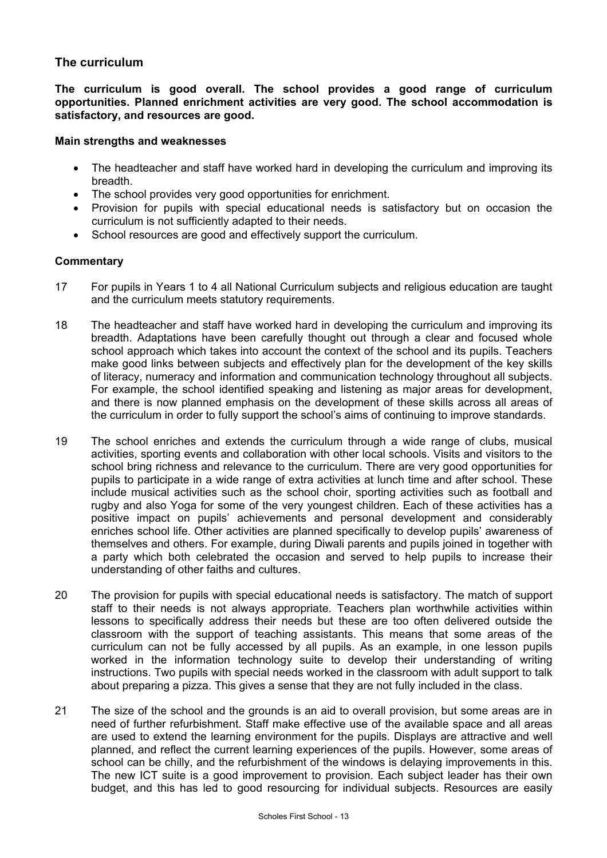## **The curriculum**

**The curriculum is good overall. The school provides a good range of curriculum opportunities. Planned enrichment activities are very good. The school accommodation is satisfactory, and resources are good.** 

#### **Main strengths and weaknesses**

- The headteacher and staff have worked hard in developing the curriculum and improving its breadth.
- The school provides very good opportunities for enrichment.
- Provision for pupils with special educational needs is satisfactory but on occasion the curriculum is not sufficiently adapted to their needs.
- School resources are good and effectively support the curriculum.

- 17 For pupils in Years 1 to 4 all National Curriculum subjects and religious education are taught and the curriculum meets statutory requirements.
- 18 The headteacher and staff have worked hard in developing the curriculum and improving its breadth. Adaptations have been carefully thought out through a clear and focused whole school approach which takes into account the context of the school and its pupils. Teachers make good links between subjects and effectively plan for the development of the key skills of literacy, numeracy and information and communication technology throughout all subjects. For example, the school identified speaking and listening as major areas for development, and there is now planned emphasis on the development of these skills across all areas of the curriculum in order to fully support the school's aims of continuing to improve standards.
- 19 The school enriches and extends the curriculum through a wide range of clubs, musical activities, sporting events and collaboration with other local schools. Visits and visitors to the school bring richness and relevance to the curriculum. There are very good opportunities for pupils to participate in a wide range of extra activities at lunch time and after school. These include musical activities such as the school choir, sporting activities such as football and rugby and also Yoga for some of the very youngest children. Each of these activities has a positive impact on pupils' achievements and personal development and considerably enriches school life. Other activities are planned specifically to develop pupils' awareness of themselves and others. For example, during Diwali parents and pupils joined in together with a party which both celebrated the occasion and served to help pupils to increase their understanding of other faiths and cultures.
- 20 The provision for pupils with special educational needs is satisfactory. The match of support staff to their needs is not always appropriate. Teachers plan worthwhile activities within lessons to specifically address their needs but these are too often delivered outside the classroom with the support of teaching assistants. This means that some areas of the curriculum can not be fully accessed by all pupils. As an example, in one lesson pupils worked in the information technology suite to develop their understanding of writing instructions. Two pupils with special needs worked in the classroom with adult support to talk about preparing a pizza. This gives a sense that they are not fully included in the class.
- 21 The size of the school and the grounds is an aid to overall provision, but some areas are in need of further refurbishment. Staff make effective use of the available space and all areas are used to extend the learning environment for the pupils. Displays are attractive and well planned, and reflect the current learning experiences of the pupils. However, some areas of school can be chilly, and the refurbishment of the windows is delaying improvements in this. The new ICT suite is a good improvement to provision. Each subject leader has their own budget, and this has led to good resourcing for individual subjects. Resources are easily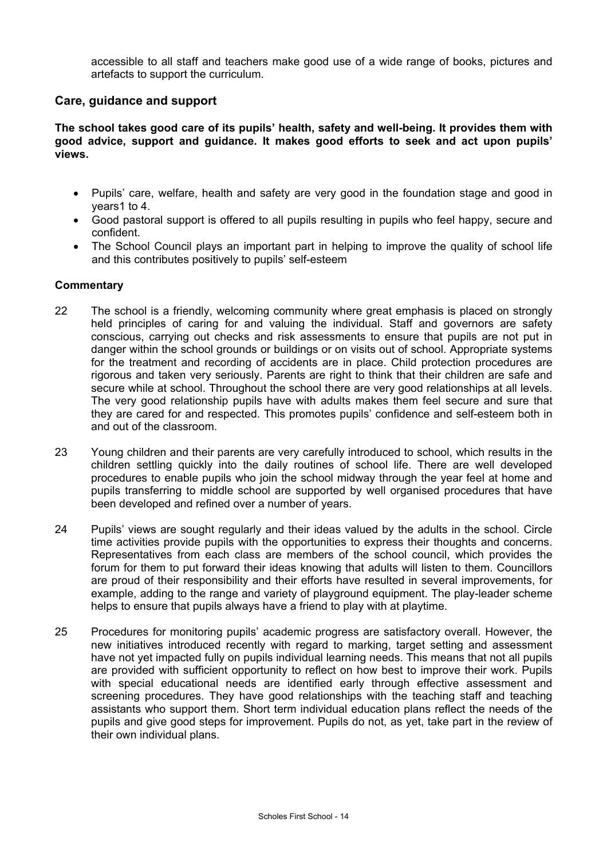accessible to all staff and teachers make good use of a wide range of books, pictures and artefacts to support the curriculum.

### **Care, guidance and support**

**The school takes good care of its pupils' health, safety and well-being. It provides them with good advice, support and guidance. It makes good efforts to seek and act upon pupils' views.** 

- Pupils' care, welfare, health and safety are very good in the foundation stage and good in years1 to 4.
- Good pastoral support is offered to all pupils resulting in pupils who feel happy, secure and confident.
- The School Council plays an important part in helping to improve the quality of school life and this contributes positively to pupils' self-esteem

- 22 The school is a friendly, welcoming community where great emphasis is placed on strongly held principles of caring for and valuing the individual. Staff and governors are safety conscious, carrying out checks and risk assessments to ensure that pupils are not put in danger within the school grounds or buildings or on visits out of school. Appropriate systems for the treatment and recording of accidents are in place. Child protection procedures are rigorous and taken very seriously. Parents are right to think that their children are safe and secure while at school. Throughout the school there are very good relationships at all levels. The very good relationship pupils have with adults makes them feel secure and sure that they are cared for and respected. This promotes pupils' confidence and self-esteem both in and out of the classroom.
- 23 Young children and their parents are very carefully introduced to school, which results in the children settling quickly into the daily routines of school life. There are well developed procedures to enable pupils who join the school midway through the year feel at home and pupils transferring to middle school are supported by well organised procedures that have been developed and refined over a number of years.
- 24 Pupils' views are sought regularly and their ideas valued by the adults in the school. Circle time activities provide pupils with the opportunities to express their thoughts and concerns. Representatives from each class are members of the school council, which provides the forum for them to put forward their ideas knowing that adults will listen to them. Councillors are proud of their responsibility and their efforts have resulted in several improvements, for example, adding to the range and variety of playground equipment. The play-leader scheme helps to ensure that pupils always have a friend to play with at playtime.
- 25 Procedures for monitoring pupils' academic progress are satisfactory overall. However, the new initiatives introduced recently with regard to marking, target setting and assessment have not yet impacted fully on pupils individual learning needs. This means that not all pupils are provided with sufficient opportunity to reflect on how best to improve their work. Pupils with special educational needs are identified early through effective assessment and screening procedures. They have good relationships with the teaching staff and teaching assistants who support them. Short term individual education plans reflect the needs of the pupils and give good steps for improvement. Pupils do not, as yet, take part in the review of their own individual plans.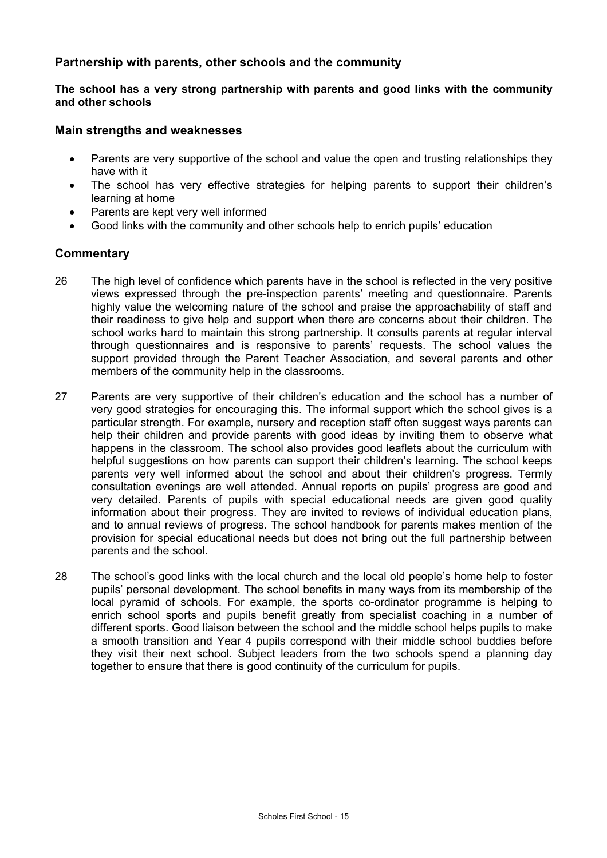## **Partnership with parents, other schools and the community**

**The school has a very strong partnership with parents and good links with the community and other schools** 

#### **Main strengths and weaknesses**

- Parents are very supportive of the school and value the open and trusting relationships they have with it
- The school has very effective strategies for helping parents to support their children's learning at home
- Parents are kept very well informed
- Good links with the community and other schools help to enrich pupils' education

- 26 The high level of confidence which parents have in the school is reflected in the very positive views expressed through the pre-inspection parents' meeting and questionnaire. Parents highly value the welcoming nature of the school and praise the approachability of staff and their readiness to give help and support when there are concerns about their children. The school works hard to maintain this strong partnership. It consults parents at regular interval through questionnaires and is responsive to parents' requests. The school values the support provided through the Parent Teacher Association, and several parents and other members of the community help in the classrooms.
- 27 Parents are very supportive of their children's education and the school has a number of very good strategies for encouraging this. The informal support which the school gives is a particular strength. For example, nursery and reception staff often suggest ways parents can help their children and provide parents with good ideas by inviting them to observe what happens in the classroom. The school also provides good leaflets about the curriculum with helpful suggestions on how parents can support their children's learning. The school keeps parents very well informed about the school and about their children's progress. Termly consultation evenings are well attended. Annual reports on pupils' progress are good and very detailed. Parents of pupils with special educational needs are given good quality information about their progress. They are invited to reviews of individual education plans, and to annual reviews of progress. The school handbook for parents makes mention of the provision for special educational needs but does not bring out the full partnership between parents and the school.
- 28 The school's good links with the local church and the local old people's home help to foster pupils' personal development. The school benefits in many ways from its membership of the local pyramid of schools. For example, the sports co-ordinator programme is helping to enrich school sports and pupils benefit greatly from specialist coaching in a number of different sports. Good liaison between the school and the middle school helps pupils to make a smooth transition and Year 4 pupils correspond with their middle school buddies before they visit their next school. Subject leaders from the two schools spend a planning day together to ensure that there is good continuity of the curriculum for pupils.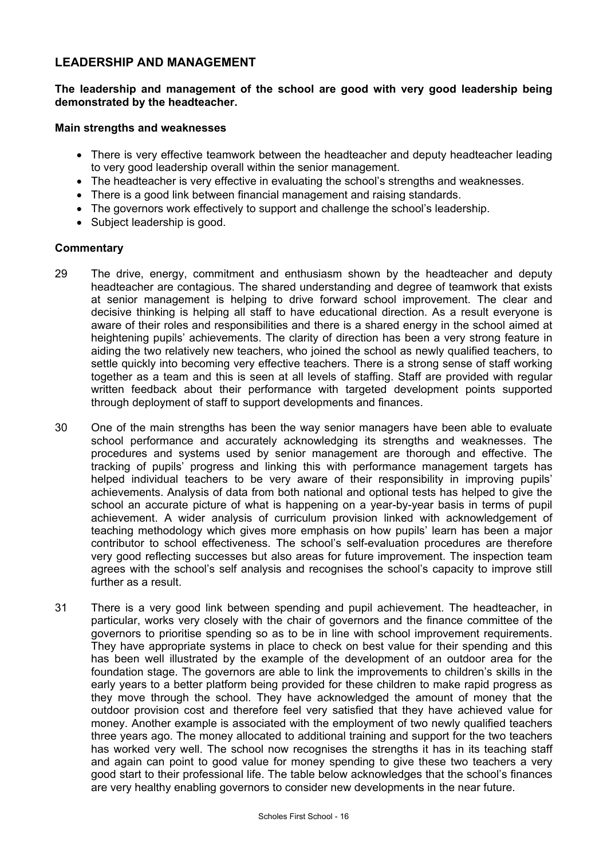## **LEADERSHIP AND MANAGEMENT**

#### **The leadership and management of the school are good with very good leadership being demonstrated by the headteacher.**

#### **Main strengths and weaknesses**

- There is very effective teamwork between the headteacher and deputy headteacher leading to very good leadership overall within the senior management.
- The headteacher is very effective in evaluating the school's strengths and weaknesses.
- There is a good link between financial management and raising standards.
- The governors work effectively to support and challenge the school's leadership.
- Subject leadership is good.

- 29 The drive, energy, commitment and enthusiasm shown by the headteacher and deputy headteacher are contagious. The shared understanding and degree of teamwork that exists at senior management is helping to drive forward school improvement. The clear and decisive thinking is helping all staff to have educational direction. As a result everyone is aware of their roles and responsibilities and there is a shared energy in the school aimed at heightening pupils' achievements. The clarity of direction has been a very strong feature in aiding the two relatively new teachers, who joined the school as newly qualified teachers, to settle quickly into becoming very effective teachers. There is a strong sense of staff working together as a team and this is seen at all levels of staffing. Staff are provided with regular written feedback about their performance with targeted development points supported through deployment of staff to support developments and finances.
- 30 One of the main strengths has been the way senior managers have been able to evaluate school performance and accurately acknowledging its strengths and weaknesses. The procedures and systems used by senior management are thorough and effective. The tracking of pupils' progress and linking this with performance management targets has helped individual teachers to be very aware of their responsibility in improving pupils' achievements. Analysis of data from both national and optional tests has helped to give the school an accurate picture of what is happening on a year-by-year basis in terms of pupil achievement. A wider analysis of curriculum provision linked with acknowledgement of teaching methodology which gives more emphasis on how pupils' learn has been a major contributor to school effectiveness. The school's self-evaluation procedures are therefore very good reflecting successes but also areas for future improvement. The inspection team agrees with the school's self analysis and recognises the school's capacity to improve still further as a result.
- 31 There is a very good link between spending and pupil achievement. The headteacher, in particular, works very closely with the chair of governors and the finance committee of the governors to prioritise spending so as to be in line with school improvement requirements. They have appropriate systems in place to check on best value for their spending and this has been well illustrated by the example of the development of an outdoor area for the foundation stage. The governors are able to link the improvements to children's skills in the early years to a better platform being provided for these children to make rapid progress as they move through the school. They have acknowledged the amount of money that the outdoor provision cost and therefore feel very satisfied that they have achieved value for money. Another example is associated with the employment of two newly qualified teachers three years ago. The money allocated to additional training and support for the two teachers has worked very well. The school now recognises the strengths it has in its teaching staff and again can point to good value for money spending to give these two teachers a very good start to their professional life. The table below acknowledges that the school's finances are very healthy enabling governors to consider new developments in the near future.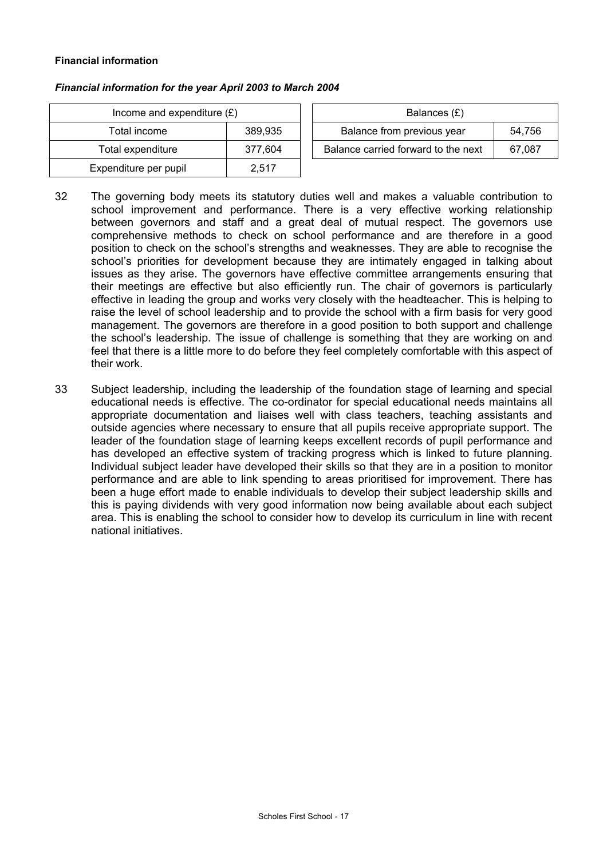#### **Financial information**

| Income and expenditure $(E)$ |         | Balances $(E)$                   |
|------------------------------|---------|----------------------------------|
| Total income                 | 389,935 | Balance from previous year       |
| Total expenditure            | 377.604 | Balance carried forward to the r |
| Expenditure per pupil        | 2.517   |                                  |

| Income and expenditure $(E)$ |         | Balances (£)                        |        |
|------------------------------|---------|-------------------------------------|--------|
| Total income                 | 389.935 | Balance from previous year          | 54.756 |
| Total expenditure            | 377.604 | Balance carried forward to the next | 67.087 |

- 32 The governing body meets its statutory duties well and makes a valuable contribution to school improvement and performance. There is a very effective working relationship between governors and staff and a great deal of mutual respect. The governors use comprehensive methods to check on school performance and are therefore in a good position to check on the school's strengths and weaknesses. They are able to recognise the school's priorities for development because they are intimately engaged in talking about issues as they arise. The governors have effective committee arrangements ensuring that their meetings are effective but also efficiently run. The chair of governors is particularly effective in leading the group and works very closely with the headteacher. This is helping to raise the level of school leadership and to provide the school with a firm basis for very good management. The governors are therefore in a good position to both support and challenge the school's leadership. The issue of challenge is something that they are working on and feel that there is a little more to do before they feel completely comfortable with this aspect of their work.
- 33 Subject leadership, including the leadership of the foundation stage of learning and special educational needs is effective. The co-ordinator for special educational needs maintains all appropriate documentation and liaises well with class teachers, teaching assistants and outside agencies where necessary to ensure that all pupils receive appropriate support. The leader of the foundation stage of learning keeps excellent records of pupil performance and has developed an effective system of tracking progress which is linked to future planning. Individual subject leader have developed their skills so that they are in a position to monitor performance and are able to link spending to areas prioritised for improvement. There has been a huge effort made to enable individuals to develop their subject leadership skills and this is paying dividends with very good information now being available about each subject area. This is enabling the school to consider how to develop its curriculum in line with recent national initiatives.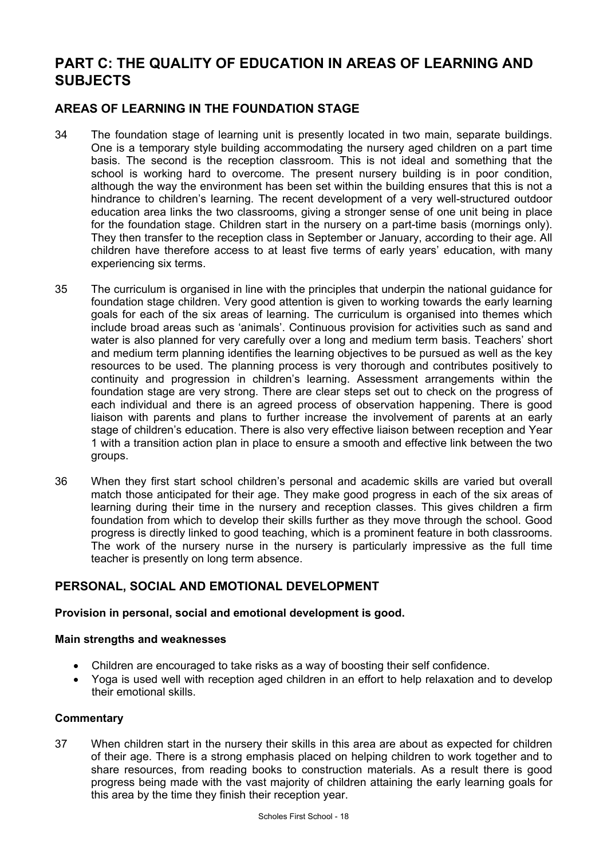# **PART C: THE QUALITY OF EDUCATION IN AREAS OF LEARNING AND SUBJECTS**

## **AREAS OF LEARNING IN THE FOUNDATION STAGE**

- 34 The foundation stage of learning unit is presently located in two main, separate buildings. One is a temporary style building accommodating the nursery aged children on a part time basis. The second is the reception classroom. This is not ideal and something that the school is working hard to overcome. The present nursery building is in poor condition, although the way the environment has been set within the building ensures that this is not a hindrance to children's learning. The recent development of a very well-structured outdoor education area links the two classrooms, giving a stronger sense of one unit being in place for the foundation stage. Children start in the nursery on a part-time basis (mornings only). They then transfer to the reception class in September or January, according to their age. All children have therefore access to at least five terms of early years' education, with many experiencing six terms.
- 35 The curriculum is organised in line with the principles that underpin the national guidance for foundation stage children. Very good attention is given to working towards the early learning goals for each of the six areas of learning. The curriculum is organised into themes which include broad areas such as 'animals'. Continuous provision for activities such as sand and water is also planned for very carefully over a long and medium term basis. Teachers' short and medium term planning identifies the learning objectives to be pursued as well as the key resources to be used. The planning process is very thorough and contributes positively to continuity and progression in children's learning. Assessment arrangements within the foundation stage are very strong. There are clear steps set out to check on the progress of each individual and there is an agreed process of observation happening. There is good liaison with parents and plans to further increase the involvement of parents at an early stage of children's education. There is also very effective liaison between reception and Year 1 with a transition action plan in place to ensure a smooth and effective link between the two groups.
- 36 When they first start school children's personal and academic skills are varied but overall match those anticipated for their age. They make good progress in each of the six areas of learning during their time in the nursery and reception classes. This gives children a firm foundation from which to develop their skills further as they move through the school. Good progress is directly linked to good teaching, which is a prominent feature in both classrooms. The work of the nursery nurse in the nursery is particularly impressive as the full time teacher is presently on long term absence.

## **PERSONAL, SOCIAL AND EMOTIONAL DEVELOPMENT**

## **Provision in personal, social and emotional development is good.**

## **Main strengths and weaknesses**

- Children are encouraged to take risks as a way of boosting their self confidence.
- Yoga is used well with reception aged children in an effort to help relaxation and to develop their emotional skills.

## **Commentary**

37 When children start in the nursery their skills in this area are about as expected for children of their age. There is a strong emphasis placed on helping children to work together and to share resources, from reading books to construction materials. As a result there is good progress being made with the vast majority of children attaining the early learning goals for this area by the time they finish their reception year.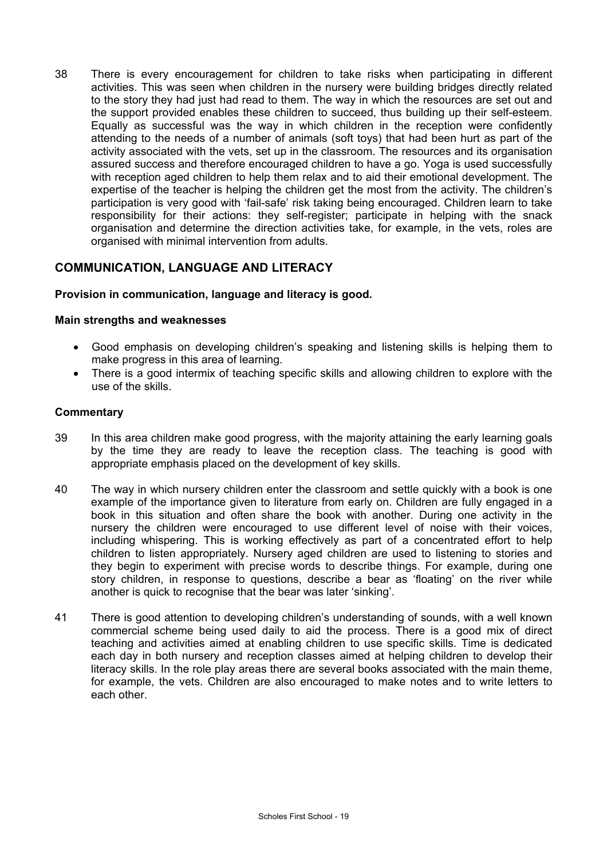38 There is every encouragement for children to take risks when participating in different activities. This was seen when children in the nursery were building bridges directly related to the story they had just had read to them. The way in which the resources are set out and the support provided enables these children to succeed, thus building up their self-esteem. Equally as successful was the way in which children in the reception were confidently attending to the needs of a number of animals (soft toys) that had been hurt as part of the activity associated with the vets, set up in the classroom. The resources and its organisation assured success and therefore encouraged children to have a go. Yoga is used successfully with reception aged children to help them relax and to aid their emotional development. The expertise of the teacher is helping the children get the most from the activity. The children's participation is very good with 'fail-safe' risk taking being encouraged. Children learn to take responsibility for their actions: they self-register; participate in helping with the snack organisation and determine the direction activities take, for example, in the vets, roles are organised with minimal intervention from adults.

## **COMMUNICATION, LANGUAGE AND LITERACY**

## **Provision in communication, language and literacy is good.**

#### **Main strengths and weaknesses**

- Good emphasis on developing children's speaking and listening skills is helping them to make progress in this area of learning.
- There is a good intermix of teaching specific skills and allowing children to explore with the use of the skills.

- 39 In this area children make good progress, with the majority attaining the early learning goals by the time they are ready to leave the reception class. The teaching is good with appropriate emphasis placed on the development of key skills.
- 40 The way in which nursery children enter the classroom and settle quickly with a book is one example of the importance given to literature from early on. Children are fully engaged in a book in this situation and often share the book with another. During one activity in the nursery the children were encouraged to use different level of noise with their voices, including whispering. This is working effectively as part of a concentrated effort to help children to listen appropriately. Nursery aged children are used to listening to stories and they begin to experiment with precise words to describe things. For example, during one story children, in response to questions, describe a bear as 'floating' on the river while another is quick to recognise that the bear was later 'sinking'.
- 41 There is good attention to developing children's understanding of sounds, with a well known commercial scheme being used daily to aid the process. There is a good mix of direct teaching and activities aimed at enabling children to use specific skills. Time is dedicated each day in both nursery and reception classes aimed at helping children to develop their literacy skills. In the role play areas there are several books associated with the main theme, for example, the vets. Children are also encouraged to make notes and to write letters to each other.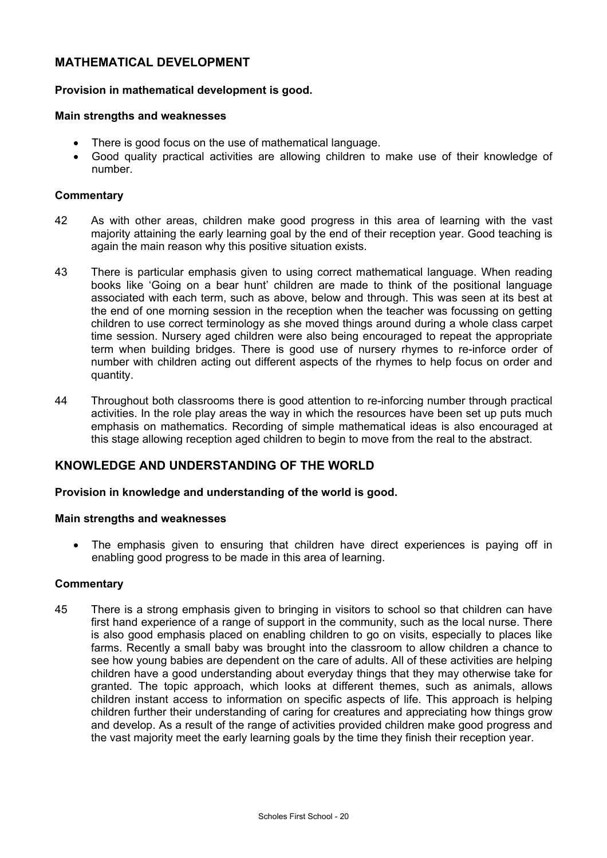## **MATHEMATICAL DEVELOPMENT**

### **Provision in mathematical development is good.**

#### **Main strengths and weaknesses**

- There is good focus on the use of mathematical language.
- Good quality practical activities are allowing children to make use of their knowledge of number.

#### **Commentary**

- 42 As with other areas, children make good progress in this area of learning with the vast majority attaining the early learning goal by the end of their reception year. Good teaching is again the main reason why this positive situation exists.
- 43 There is particular emphasis given to using correct mathematical language. When reading books like 'Going on a bear hunt' children are made to think of the positional language associated with each term, such as above, below and through. This was seen at its best at the end of one morning session in the reception when the teacher was focussing on getting children to use correct terminology as she moved things around during a whole class carpet time session. Nursery aged children were also being encouraged to repeat the appropriate term when building bridges. There is good use of nursery rhymes to re-inforce order of number with children acting out different aspects of the rhymes to help focus on order and quantity.
- 44 Throughout both classrooms there is good attention to re-inforcing number through practical activities. In the role play areas the way in which the resources have been set up puts much emphasis on mathematics. Recording of simple mathematical ideas is also encouraged at this stage allowing reception aged children to begin to move from the real to the abstract.

## **KNOWLEDGE AND UNDERSTANDING OF THE WORLD**

#### **Provision in knowledge and understanding of the world is good.**

#### **Main strengths and weaknesses**

• The emphasis given to ensuring that children have direct experiences is paying off in enabling good progress to be made in this area of learning.

#### **Commentary**

45 There is a strong emphasis given to bringing in visitors to school so that children can have first hand experience of a range of support in the community, such as the local nurse. There is also good emphasis placed on enabling children to go on visits, especially to places like farms. Recently a small baby was brought into the classroom to allow children a chance to see how young babies are dependent on the care of adults. All of these activities are helping children have a good understanding about everyday things that they may otherwise take for granted. The topic approach, which looks at different themes, such as animals, allows children instant access to information on specific aspects of life. This approach is helping children further their understanding of caring for creatures and appreciating how things grow and develop. As a result of the range of activities provided children make good progress and the vast majority meet the early learning goals by the time they finish their reception year.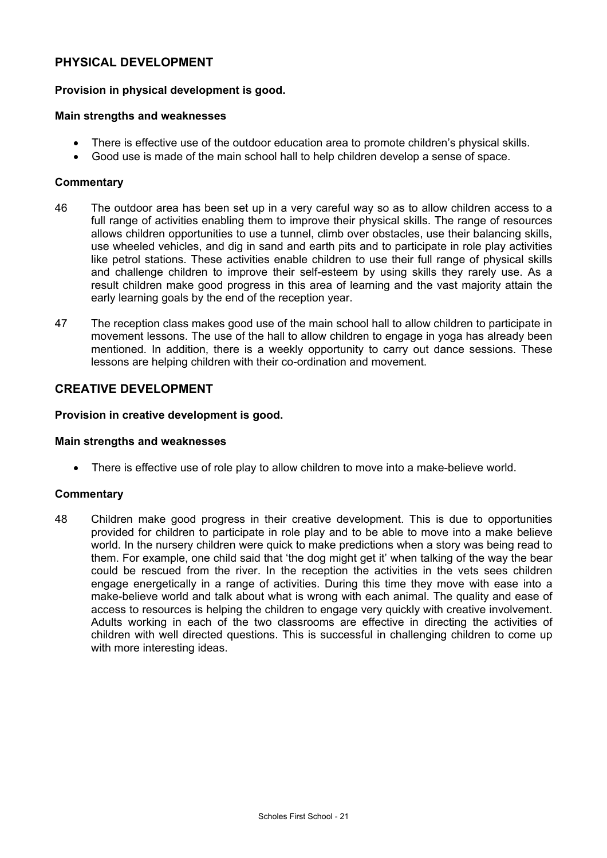## **PHYSICAL DEVELOPMENT**

### **Provision in physical development is good.**

#### **Main strengths and weaknesses**

- There is effective use of the outdoor education area to promote children's physical skills.
- Good use is made of the main school hall to help children develop a sense of space.

#### **Commentary**

- 46 The outdoor area has been set up in a very careful way so as to allow children access to a full range of activities enabling them to improve their physical skills. The range of resources allows children opportunities to use a tunnel, climb over obstacles, use their balancing skills, use wheeled vehicles, and dig in sand and earth pits and to participate in role play activities like petrol stations. These activities enable children to use their full range of physical skills and challenge children to improve their self-esteem by using skills they rarely use. As a result children make good progress in this area of learning and the vast majority attain the early learning goals by the end of the reception year.
- 47 The reception class makes good use of the main school hall to allow children to participate in movement lessons. The use of the hall to allow children to engage in yoga has already been mentioned. In addition, there is a weekly opportunity to carry out dance sessions. These lessons are helping children with their co-ordination and movement.

## **CREATIVE DEVELOPMENT**

#### **Provision in creative development is good.**

#### **Main strengths and weaknesses**

• There is effective use of role play to allow children to move into a make-believe world.

#### **Commentary**

48 Children make good progress in their creative development. This is due to opportunities provided for children to participate in role play and to be able to move into a make believe world. In the nursery children were quick to make predictions when a story was being read to them. For example, one child said that 'the dog might get it' when talking of the way the bear could be rescued from the river. In the reception the activities in the vets sees children engage energetically in a range of activities. During this time they move with ease into a make-believe world and talk about what is wrong with each animal. The quality and ease of access to resources is helping the children to engage very quickly with creative involvement. Adults working in each of the two classrooms are effective in directing the activities of children with well directed questions. This is successful in challenging children to come up with more interesting ideas.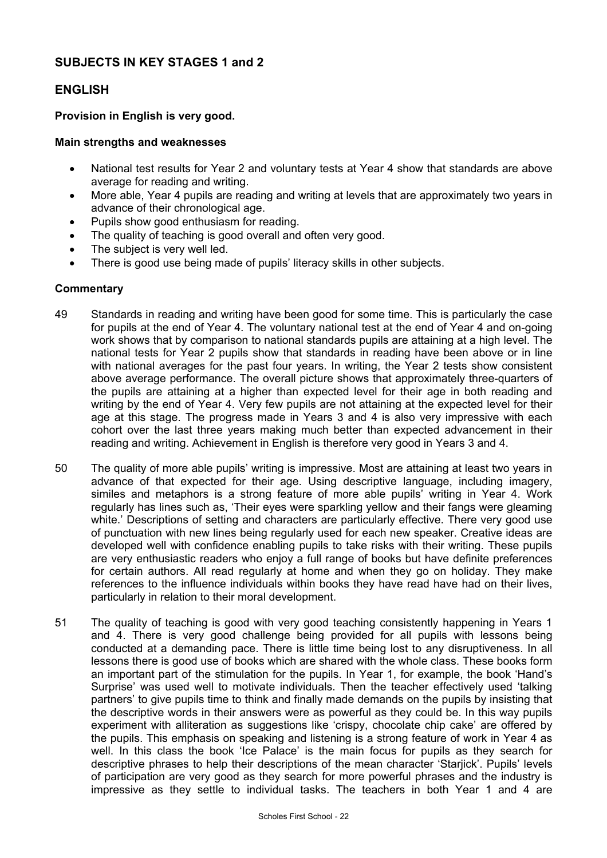## **SUBJECTS IN KEY STAGES 1 and 2**

## **ENGLISH**

### **Provision in English is very good.**

#### **Main strengths and weaknesses**

- National test results for Year 2 and voluntary tests at Year 4 show that standards are above average for reading and writing.
- More able, Year 4 pupils are reading and writing at levels that are approximately two years in advance of their chronological age.
- Pupils show good enthusiasm for reading.
- The quality of teaching is good overall and often very good.
- The subject is very well led.
- There is good use being made of pupils' literacy skills in other subjects.

- 49 Standards in reading and writing have been good for some time. This is particularly the case for pupils at the end of Year 4. The voluntary national test at the end of Year 4 and on-going work shows that by comparison to national standards pupils are attaining at a high level. The national tests for Year 2 pupils show that standards in reading have been above or in line with national averages for the past four years. In writing, the Year 2 tests show consistent above average performance. The overall picture shows that approximately three-quarters of the pupils are attaining at a higher than expected level for their age in both reading and writing by the end of Year 4. Very few pupils are not attaining at the expected level for their age at this stage. The progress made in Years 3 and 4 is also very impressive with each cohort over the last three years making much better than expected advancement in their reading and writing. Achievement in English is therefore very good in Years 3 and 4.
- 50 The quality of more able pupils' writing is impressive. Most are attaining at least two years in advance of that expected for their age. Using descriptive language, including imagery, similes and metaphors is a strong feature of more able pupils' writing in Year 4. Work regularly has lines such as, 'Their eyes were sparkling yellow and their fangs were gleaming white.' Descriptions of setting and characters are particularly effective. There very good use of punctuation with new lines being regularly used for each new speaker. Creative ideas are developed well with confidence enabling pupils to take risks with their writing. These pupils are very enthusiastic readers who enjoy a full range of books but have definite preferences for certain authors. All read regularly at home and when they go on holiday. They make references to the influence individuals within books they have read have had on their lives, particularly in relation to their moral development.
- 51 The quality of teaching is good with very good teaching consistently happening in Years 1 and 4. There is very good challenge being provided for all pupils with lessons being conducted at a demanding pace. There is little time being lost to any disruptiveness. In all lessons there is good use of books which are shared with the whole class. These books form an important part of the stimulation for the pupils. In Year 1, for example, the book 'Hand's Surprise' was used well to motivate individuals. Then the teacher effectively used 'talking partners' to give pupils time to think and finally made demands on the pupils by insisting that the descriptive words in their answers were as powerful as they could be. In this way pupils experiment with alliteration as suggestions like 'crispy, chocolate chip cake' are offered by the pupils. This emphasis on speaking and listening is a strong feature of work in Year 4 as well. In this class the book 'Ice Palace' is the main focus for pupils as they search for descriptive phrases to help their descriptions of the mean character 'Starjick'. Pupils' levels of participation are very good as they search for more powerful phrases and the industry is impressive as they settle to individual tasks. The teachers in both Year 1 and 4 are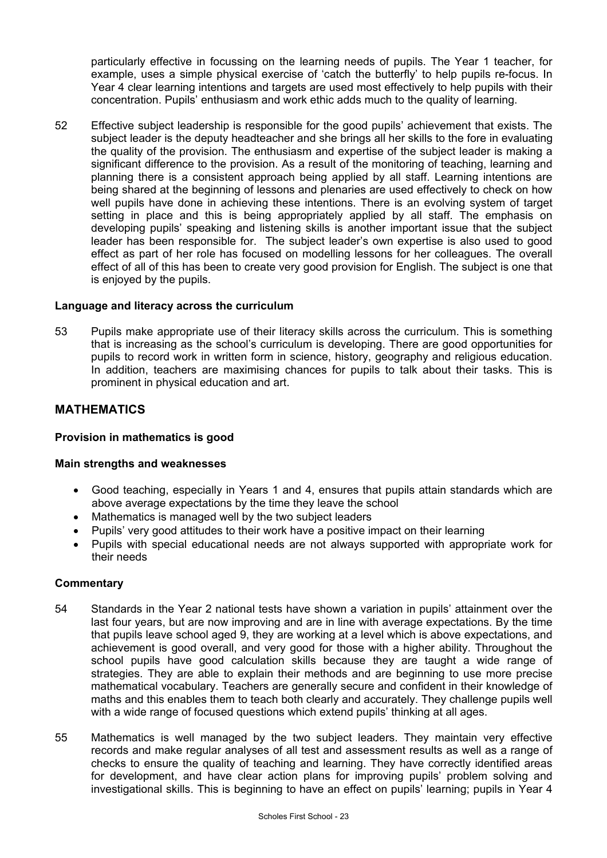particularly effective in focussing on the learning needs of pupils. The Year 1 teacher, for example, uses a simple physical exercise of 'catch the butterfly' to help pupils re-focus. In Year 4 clear learning intentions and targets are used most effectively to help pupils with their concentration. Pupils' enthusiasm and work ethic adds much to the quality of learning.

52 Effective subject leadership is responsible for the good pupils' achievement that exists. The subject leader is the deputy headteacher and she brings all her skills to the fore in evaluating the quality of the provision. The enthusiasm and expertise of the subject leader is making a significant difference to the provision. As a result of the monitoring of teaching, learning and planning there is a consistent approach being applied by all staff. Learning intentions are being shared at the beginning of lessons and plenaries are used effectively to check on how well pupils have done in achieving these intentions. There is an evolving system of target setting in place and this is being appropriately applied by all staff. The emphasis on developing pupils' speaking and listening skills is another important issue that the subject leader has been responsible for. The subject leader's own expertise is also used to good effect as part of her role has focused on modelling lessons for her colleagues. The overall effect of all of this has been to create very good provision for English. The subject is one that is enjoyed by the pupils.

#### **Language and literacy across the curriculum**

53 Pupils make appropriate use of their literacy skills across the curriculum. This is something that is increasing as the school's curriculum is developing. There are good opportunities for pupils to record work in written form in science, history, geography and religious education. In addition, teachers are maximising chances for pupils to talk about their tasks. This is prominent in physical education and art.

## **MATHEMATICS**

## **Provision in mathematics is good**

#### **Main strengths and weaknesses**

- Good teaching, especially in Years 1 and 4, ensures that pupils attain standards which are above average expectations by the time they leave the school
- Mathematics is managed well by the two subject leaders
- Pupils' very good attitudes to their work have a positive impact on their learning
- Pupils with special educational needs are not always supported with appropriate work for their needs

- 54 Standards in the Year 2 national tests have shown a variation in pupils' attainment over the last four years, but are now improving and are in line with average expectations. By the time that pupils leave school aged 9, they are working at a level which is above expectations, and achievement is good overall, and very good for those with a higher ability. Throughout the school pupils have good calculation skills because they are taught a wide range of strategies. They are able to explain their methods and are beginning to use more precise mathematical vocabulary. Teachers are generally secure and confident in their knowledge of maths and this enables them to teach both clearly and accurately. They challenge pupils well with a wide range of focused questions which extend pupils' thinking at all ages.
- 55 Mathematics is well managed by the two subject leaders. They maintain very effective records and make regular analyses of all test and assessment results as well as a range of checks to ensure the quality of teaching and learning. They have correctly identified areas for development, and have clear action plans for improving pupils' problem solving and investigational skills. This is beginning to have an effect on pupils' learning; pupils in Year 4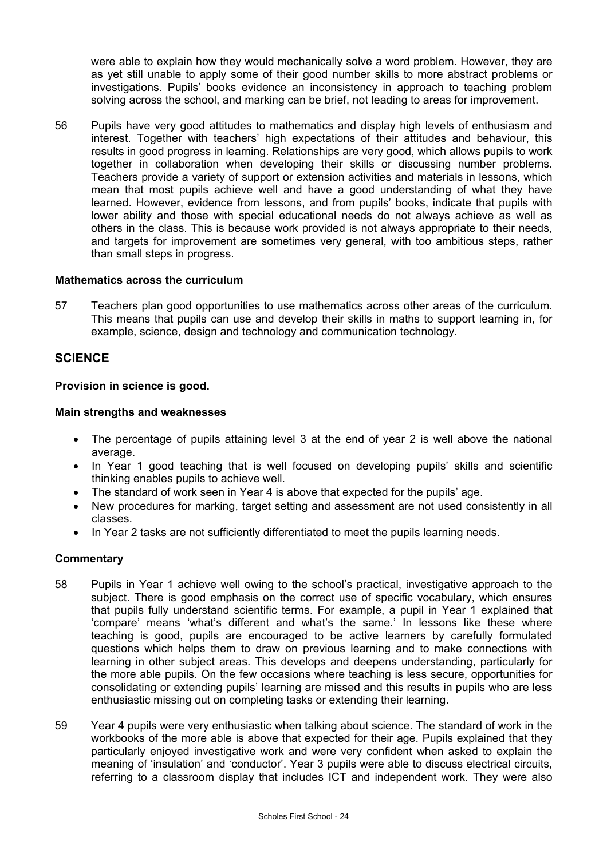were able to explain how they would mechanically solve a word problem. However, they are as yet still unable to apply some of their good number skills to more abstract problems or investigations. Pupils' books evidence an inconsistency in approach to teaching problem solving across the school, and marking can be brief, not leading to areas for improvement.

56 Pupils have very good attitudes to mathematics and display high levels of enthusiasm and interest. Together with teachers' high expectations of their attitudes and behaviour, this results in good progress in learning. Relationships are very good, which allows pupils to work together in collaboration when developing their skills or discussing number problems. Teachers provide a variety of support or extension activities and materials in lessons, which mean that most pupils achieve well and have a good understanding of what they have learned. However, evidence from lessons, and from pupils' books, indicate that pupils with lower ability and those with special educational needs do not always achieve as well as others in the class. This is because work provided is not always appropriate to their needs, and targets for improvement are sometimes very general, with too ambitious steps, rather than small steps in progress.

#### **Mathematics across the curriculum**

57 Teachers plan good opportunities to use mathematics across other areas of the curriculum. This means that pupils can use and develop their skills in maths to support learning in, for example, science, design and technology and communication technology.

## **SCIENCE**

#### **Provision in science is good.**

#### **Main strengths and weaknesses**

- The percentage of pupils attaining level 3 at the end of year 2 is well above the national average.
- In Year 1 good teaching that is well focused on developing pupils' skills and scientific thinking enables pupils to achieve well.
- The standard of work seen in Year 4 is above that expected for the pupils' age.
- New procedures for marking, target setting and assessment are not used consistently in all classes.
- In Year 2 tasks are not sufficiently differentiated to meet the pupils learning needs.

- 58 Pupils in Year 1 achieve well owing to the school's practical, investigative approach to the subject. There is good emphasis on the correct use of specific vocabulary, which ensures that pupils fully understand scientific terms. For example, a pupil in Year 1 explained that 'compare' means 'what's different and what's the same.' In lessons like these where teaching is good, pupils are encouraged to be active learners by carefully formulated questions which helps them to draw on previous learning and to make connections with learning in other subject areas. This develops and deepens understanding, particularly for the more able pupils. On the few occasions where teaching is less secure, opportunities for consolidating or extending pupils' learning are missed and this results in pupils who are less enthusiastic missing out on completing tasks or extending their learning.
- 59 Year 4 pupils were very enthusiastic when talking about science. The standard of work in the workbooks of the more able is above that expected for their age. Pupils explained that they particularly enjoyed investigative work and were very confident when asked to explain the meaning of 'insulation' and 'conductor'. Year 3 pupils were able to discuss electrical circuits, referring to a classroom display that includes ICT and independent work. They were also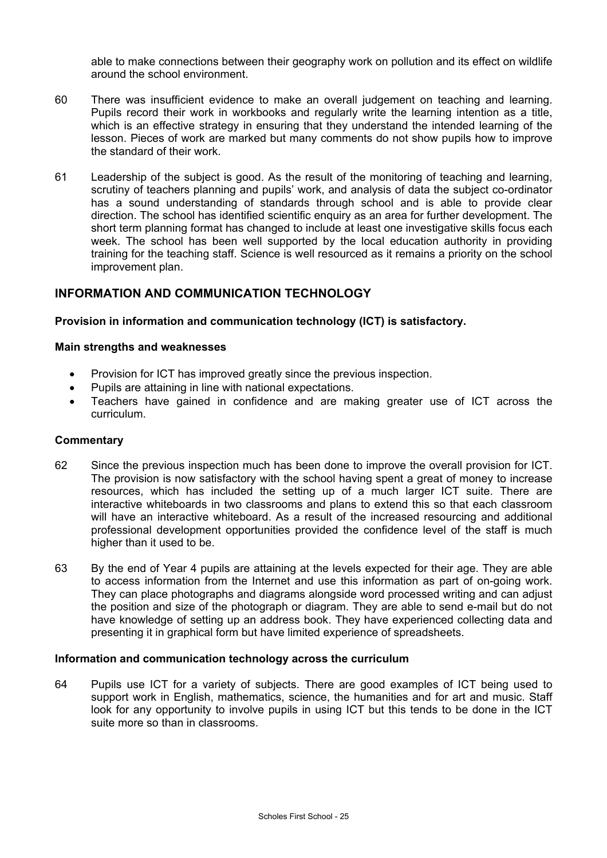able to make connections between their geography work on pollution and its effect on wildlife around the school environment.

- 60 There was insufficient evidence to make an overall judgement on teaching and learning. Pupils record their work in workbooks and regularly write the learning intention as a title, which is an effective strategy in ensuring that they understand the intended learning of the lesson. Pieces of work are marked but many comments do not show pupils how to improve the standard of their work.
- 61 Leadership of the subject is good. As the result of the monitoring of teaching and learning, scrutiny of teachers planning and pupils' work, and analysis of data the subject co-ordinator has a sound understanding of standards through school and is able to provide clear direction. The school has identified scientific enquiry as an area for further development. The short term planning format has changed to include at least one investigative skills focus each week. The school has been well supported by the local education authority in providing training for the teaching staff. Science is well resourced as it remains a priority on the school improvement plan.

## **INFORMATION AND COMMUNICATION TECHNOLOGY**

#### **Provision in information and communication technology (ICT) is satisfactory.**

#### **Main strengths and weaknesses**

- Provision for ICT has improved greatly since the previous inspection.
- Pupils are attaining in line with national expectations.
- Teachers have gained in confidence and are making greater use of ICT across the curriculum.

#### **Commentary**

- 62 Since the previous inspection much has been done to improve the overall provision for ICT. The provision is now satisfactory with the school having spent a great of money to increase resources, which has included the setting up of a much larger ICT suite. There are interactive whiteboards in two classrooms and plans to extend this so that each classroom will have an interactive whiteboard. As a result of the increased resourcing and additional professional development opportunities provided the confidence level of the staff is much higher than it used to be.
- 63 By the end of Year 4 pupils are attaining at the levels expected for their age. They are able to access information from the Internet and use this information as part of on-going work. They can place photographs and diagrams alongside word processed writing and can adjust the position and size of the photograph or diagram. They are able to send e-mail but do not have knowledge of setting up an address book. They have experienced collecting data and presenting it in graphical form but have limited experience of spreadsheets.

#### **Information and communication technology across the curriculum**

64 Pupils use ICT for a variety of subjects. There are good examples of ICT being used to support work in English, mathematics, science, the humanities and for art and music. Staff look for any opportunity to involve pupils in using ICT but this tends to be done in the ICT suite more so than in classrooms.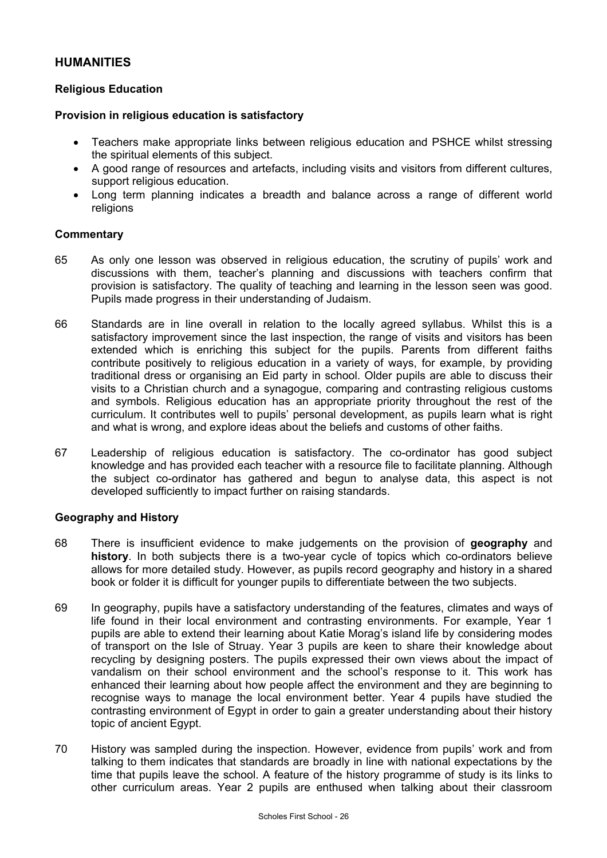## **HUMANITIES**

#### **Religious Education**

#### **Provision in religious education is satisfactory**

- Teachers make appropriate links between religious education and PSHCE whilst stressing the spiritual elements of this subject.
- A good range of resources and artefacts, including visits and visitors from different cultures, support religious education.
- Long term planning indicates a breadth and balance across a range of different world religions

#### **Commentary**

- 65 As only one lesson was observed in religious education, the scrutiny of pupils' work and discussions with them, teacher's planning and discussions with teachers confirm that provision is satisfactory. The quality of teaching and learning in the lesson seen was good. Pupils made progress in their understanding of Judaism.
- 66 Standards are in line overall in relation to the locally agreed syllabus. Whilst this is a satisfactory improvement since the last inspection, the range of visits and visitors has been extended which is enriching this subject for the pupils. Parents from different faiths contribute positively to religious education in a variety of ways, for example, by providing traditional dress or organising an Eid party in school. Older pupils are able to discuss their visits to a Christian church and a synagogue, comparing and contrasting religious customs and symbols. Religious education has an appropriate priority throughout the rest of the curriculum. It contributes well to pupils' personal development, as pupils learn what is right and what is wrong, and explore ideas about the beliefs and customs of other faiths.
- 67 Leadership of religious education is satisfactory. The co-ordinator has good subject knowledge and has provided each teacher with a resource file to facilitate planning. Although the subject co-ordinator has gathered and begun to analyse data, this aspect is not developed sufficiently to impact further on raising standards.

#### **Geography and History**

- 68 There is insufficient evidence to make judgements on the provision of **geography** and **history**. In both subjects there is a two-year cycle of topics which co-ordinators believe allows for more detailed study. However, as pupils record geography and history in a shared book or folder it is difficult for younger pupils to differentiate between the two subjects.
- 69 In geography, pupils have a satisfactory understanding of the features, climates and ways of life found in their local environment and contrasting environments. For example, Year 1 pupils are able to extend their learning about Katie Morag's island life by considering modes of transport on the Isle of Struay. Year 3 pupils are keen to share their knowledge about recycling by designing posters. The pupils expressed their own views about the impact of vandalism on their school environment and the school's response to it. This work has enhanced their learning about how people affect the environment and they are beginning to recognise ways to manage the local environment better. Year 4 pupils have studied the contrasting environment of Egypt in order to gain a greater understanding about their history topic of ancient Egypt.
- 70 History was sampled during the inspection. However, evidence from pupils' work and from talking to them indicates that standards are broadly in line with national expectations by the time that pupils leave the school. A feature of the history programme of study is its links to other curriculum areas. Year 2 pupils are enthused when talking about their classroom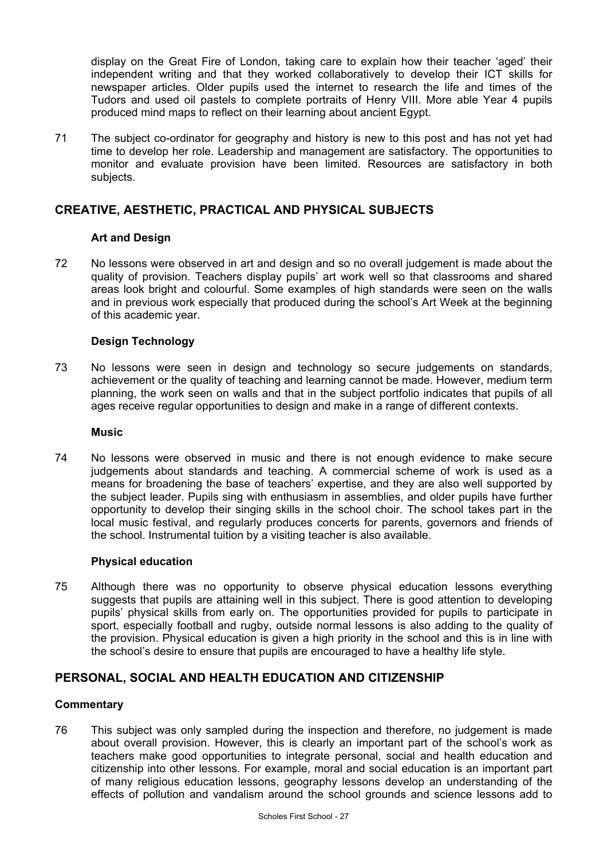display on the Great Fire of London, taking care to explain how their teacher 'aged' their independent writing and that they worked collaboratively to develop their ICT skills for newspaper articles. Older pupils used the internet to research the life and times of the Tudors and used oil pastels to complete portraits of Henry VIII. More able Year 4 pupils produced mind maps to reflect on their learning about ancient Egypt.

71 The subject co-ordinator for geography and history is new to this post and has not yet had time to develop her role. Leadership and management are satisfactory. The opportunities to monitor and evaluate provision have been limited. Resources are satisfactory in both subjects.

## **CREATIVE, AESTHETIC, PRACTICAL AND PHYSICAL SUBJECTS**

## **Art and Design**

72 No lessons were observed in art and design and so no overall judgement is made about the quality of provision. Teachers display pupils' art work well so that classrooms and shared areas look bright and colourful. Some examples of high standards were seen on the walls and in previous work especially that produced during the school's Art Week at the beginning of this academic year.

## **Design Technology**

73 No lessons were seen in design and technology so secure judgements on standards, achievement or the quality of teaching and learning cannot be made. However, medium term planning, the work seen on walls and that in the subject portfolio indicates that pupils of all ages receive regular opportunities to design and make in a range of different contexts.

#### **Music**

74 No lessons were observed in music and there is not enough evidence to make secure judgements about standards and teaching. A commercial scheme of work is used as a means for broadening the base of teachers' expertise, and they are also well supported by the subject leader. Pupils sing with enthusiasm in assemblies, and older pupils have further opportunity to develop their singing skills in the school choir. The school takes part in the local music festival, and regularly produces concerts for parents, governors and friends of the school. Instrumental tuition by a visiting teacher is also available.

## **Physical education**

75 Although there was no opportunity to observe physical education lessons everything suggests that pupils are attaining well in this subject. There is good attention to developing pupils' physical skills from early on. The opportunities provided for pupils to participate in sport, especially football and rugby, outside normal lessons is also adding to the quality of the provision. Physical education is given a high priority in the school and this is in line with the school's desire to ensure that pupils are encouraged to have a healthy life style.

## **PERSONAL, SOCIAL AND HEALTH EDUCATION AND CITIZENSHIP**

## **Commentary**

76 This subject was only sampled during the inspection and therefore, no judgement is made about overall provision. However, this is clearly an important part of the school's work as teachers make good opportunities to integrate personal, social and health education and citizenship into other lessons. For example, moral and social education is an important part of many religious education lessons, geography lessons develop an understanding of the effects of pollution and vandalism around the school grounds and science lessons add to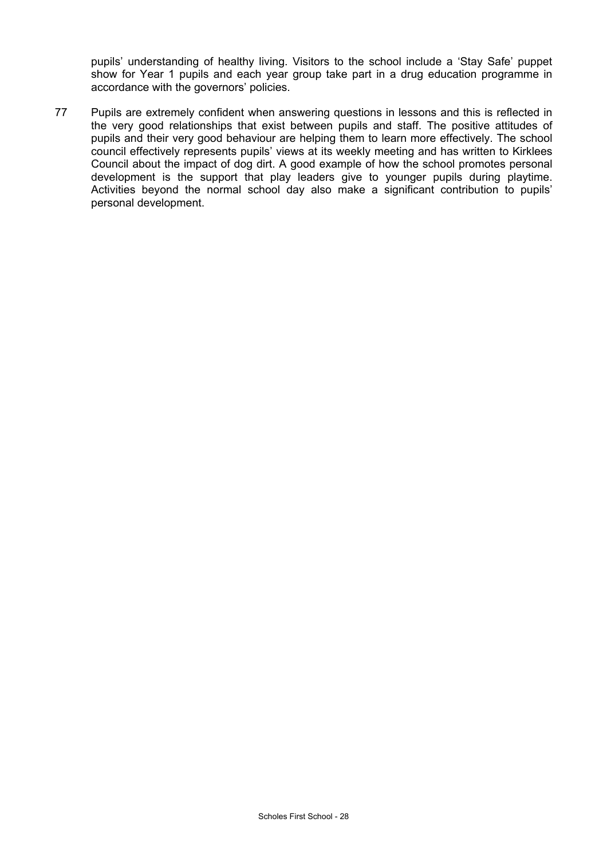pupils' understanding of healthy living. Visitors to the school include a 'Stay Safe' puppet show for Year 1 pupils and each year group take part in a drug education programme in accordance with the governors' policies.

77 Pupils are extremely confident when answering questions in lessons and this is reflected in the very good relationships that exist between pupils and staff. The positive attitudes of pupils and their very good behaviour are helping them to learn more effectively. The school council effectively represents pupils' views at its weekly meeting and has written to Kirklees Council about the impact of dog dirt. A good example of how the school promotes personal development is the support that play leaders give to younger pupils during playtime. Activities beyond the normal school day also make a significant contribution to pupils' personal development.